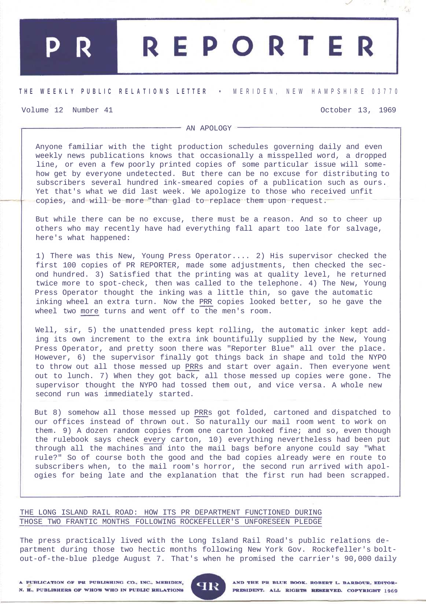# REPORTER

# **T H E WEEKL Y PUBLI C RELATION S LETTE <sup>R</sup>** • MERIDEN , NE W HAMPSHIR E 0377 <sup>0</sup>

Volume 12 Number 41 October 13, 1969

AN APOLOGY

Anyone familiar with the tight production schedules governing daily and even weekly news publications knows that occasionally a misspelled word, a dropped line, or even a few poorly printed copies of some particular issue will somehow get by everyone undetected. But there can be no excuse for distributing to subscribers several hundred ink-smeared copies of a publication such as ours. Yet that's what we did last week. We apologize to those who received unfit copies, and will be more "than glad to replace them upon request.

But while there can be no excuse, there must be a reason. And so to cheer up others who may recently have had everything fall apart too late for salvage, here's what happened:

1) There was this New, Young Press Operator.... 2) His supervisor checked the first 100 copies of PR REPORTER, made some adjustments, then checked the second hundred. 3) Satisfied that the printing was at quality level, he returned twice more to spot-check, then was called to the telephone. 4) The New, Young Press Operator thought the inking was a little thin, so gave the automatic inking wheel an extra turn. Now the PRR copies looked better, so he gave the wheel two more turns and went off to the men's room.

Well, sir, 5) the unattended press kept rolling, the automatic inker kept adding its own increment to the extra ink bountifully supplied by the New, Young Press Operator, and pretty soon there was "Reporter Blue" all over the place. However, 6) the supervisor finally got things back in shape and told the NYPO to throw out all those messed up PRRs and start over again. Then everyone went out to lunch. 7) When they got back, all those messed up copies were gone. The supervisor thought the NYPO had tossed them out, and vice versa. A whole new second run was immediately started.

But 8) somehow all those messed up PRRs got folded, cartoned and dispatched to our offices instead of thrown out. So naturally our mail room went to work on them. 9) A dozen random copies from one carton looked fine; and so, even though the rulebook says check every carton, 10) everything nevertheless had been put through all the machines and into the mail bags before anyone could say "What rule?" So of course both the good and the bad copies already were en route to subscribers when, to the mail room's horror, the second run arrived with apologies for being late and the explanation that the first run had been scrapped.

# THE LONG ISLAND RAIL ROAD: HOW ITS PR DEPARTMENT FUNCTIONED DURING THOSE TWO FRANTIC MONTHS FOLLOWING ROCKEFELLER'S UNFORESEEN PLEDGE

The press practically lived with the Long Island Rail Road's public relations department during those two hectic months following New York Gov. Rockefeller's boltout-of-the-blue pledge August 7. That's when he promised the carrier's 90,000 daily

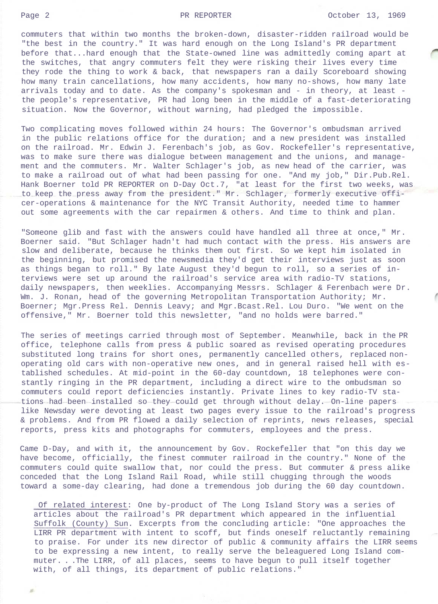commuters that within two months the broken-down, disaster-ridden railroad would be "the best in the country." It was hard enough on the Long Island's PR department before that...hard enough that the State-owned line was admittedly coming apart at the switches, that angry commuters felt they were risking their lives every time they rode the thing to work & back, that newspapers ran a daily Scoreboard showing how many train cancellations, how many accidents, how many no-shows, how many late arrivals today and to date. As the company's spokesman and - in theory, at least the people's representative, PR had long been in the middle of a fast-deteriorating situation. Now the Governor, without warning, had pledged the impossible.

Two complicating moves followed within 24 hours: The Governor's ombudsman arrived in the public relations office for the duration; and a new president was installed on the railroad. Mr. Edwin J. Ferenbach's job, as Gov. Rockefeller's representative, was to make sure there was dialogue between management and the unions, and management and the commuters. Mr. Walter Schlager's job, as new head of the carrier, was to make a railroad out of what had been passing for one. "And my job," Dir.Pub.Rel. Hank Boerner told PR REPORTER on D-Day Oct.7, "at least for the first two weeks, was to keep the press away from the president." Mr. Schlager, formerly executive officer-operations & maintenance for the NYC Transit Authority, needed time to hammer out some agreements with the car repairmen & others. And time to think and plan.

"Someone glib and fast with the answers could have handled all three at once," Mr. Boerner said. "But Schlager hadn't had much contact with the press. His answers are slow and deliberate, because he thinks them out first. So we kept him isolated in the beginning, but promised the newsmedia they'd get their interviews just as soon as things began to roll." By late August they'd begun to roll, so a series of interviews were set up around the railroad's service area with radio-TV stations, daily newspapers, then weeklies. Accompanying Messrs. Schlager & Ferenbach were Dr. Wm. J. Ronan, head of the governing Metropolitan Transportation Authority; Mr. Boerner; Mgr.Press Rel. Dennis Leavy; and Mgr.Bcast.Rel. Lou Duro. "We went on the offensive," Mr. Boerner told this newsletter, "and no holds were barred."

The series of meetings carried through most of September. Meanwhile, back in the PR office, telephone calls from press & public soared as revised operating procedures substituted long trains for short ones, permanently cancelled others, replaced nonoperating old cars with non-operative new ones, and in general raised hell with established schedules. At mid-point in the 60-day countdown, 18 telephones were constantly ringing in the PR department, including a direct wire to the ombudsman so commuters could report deficiencies instantly. Private lines to key radio-TV stations had been installed so they could get through without delay. On-line papers like Newsday were devoting at least two pages every issue to the railroad's progress & problems. And from PR flowed a daily selection of reprints, news releases, special reports, press kits and photographs for commuters, employees and the press.

Came D-Day, and with it, the announcement by Gov. Rockefeller that "on this day we have become, officially, the finest commuter railroad in the country." None of the commuters could quite swallow that, nor could the press. But commuter & press alike conceded that the Long Island Rail Road, while still chugging through the woods toward a some-day clearing, had done a tremendous job during the 60 day countdown.

Of related interest: One by-product of The Long Island Story was a series of articles about the railroad's PR department which appeared in the influential Suffolk (County) Sun. Excerpts from the concluding article: "One approaches the LIRR PR department with intent to scoff, but finds oneself reluctantly remaining to praise. For under its new director of public  $\&$  community affairs the LIRR seems to be expressing a new intent, to really serve the beleaguered Long Island commuter. . .The LIRR, of all places, seems to have begun to pull itself together with, of all things, its department of public relations."

z.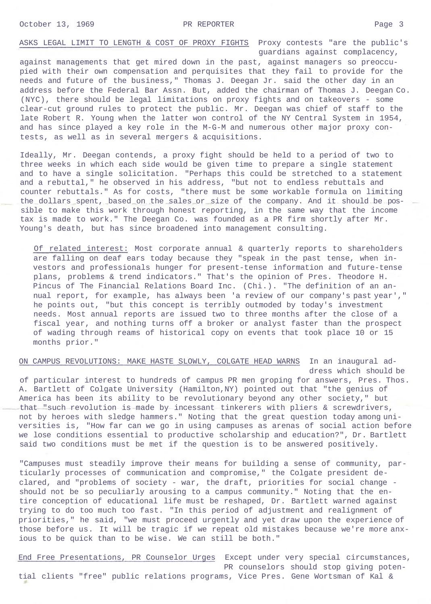ASKS LEGAL LIMIT TO LENGTH & COST OF PROXY FIGHTS Proxy contests "are the public's guardians against complacency, against managements that get mired down in the past, against managers so preoccupied with their own compensation and perquisites that they fail to provide for the needs and future of the business," Thomas J. Deegan Jr. said the other day in an address before the Federal Bar Assn. But, added the chairman of Thomas J. Deegan Co. (NYC), there should be legal limitations on proxy fights and on takeovers - some clear-cut ground rules to protect the public. Mr. Deegan was chief of staff to the late Robert R. Young when the latter won control of the NY Central System in 1954, and has since played a key role in the M-G-M and numerous other major proxy contests, as well as in several mergers & acquisitions.

Ideally, Mr. Deegan contends, a proxy fight should be held to a period of two to three weeks in which each side would be given time to prepare a single statement and to have a single solicitation. "Perhaps this could be stretched to a statement and a rebuttal," he observed in his address, "but not to endless rebuttals and counter rebuttals." As for costs, "there must be some workable formula on limiting the dollars spent, based on the sales or size of the company. And it should be possible to make this work through honest reporting, in the same way that the income tax is made to work." The Deegan Co. was founded as a PR firm shortly after Mr. Young's death, but has since broadened into management consulting.

Of related interest: Most corporate annual & quarterly reports to shareholders are falling on deaf ears today because they "speak in the past tense, when investors and professionals hunger for present-tense information and future-tense plans, problems & trend indicators." That's the opinion of Pres. Theodore H. Pincus of The Financial Relations Board Inc. (Chi.). "The definition of an annual report, for example, has always been 'a review of our company's past year'," he points out, "but this concept is terribly outmoded by today's investment needs. Most annual reports are issued two to three months after the close of a fiscal year, and nothing turns off a broker or analyst faster than the prospect of wading through reams of historical copy on events that took place 10 or 15 months prior."

ON CAMPUS REVOLUTIONS: MAKE HASTE SLOWLY, COLGATE HEAD WARNS In an inaugural address which should be of particular interest to hundreds of campus PR men groping for answers, Pres. Thos. A. Bartlett of Colgate University (Hamilton,NY) pointed out that "the genius of America has been its ability to be revolutionary beyond any other society," but that "such revolution is made by incessant tinkerers with pliers & screwdrivers, not by heroes with sledge hammers." Noting that the great question today among universities is, "How far can we go in using campuses as arenas of social action before we lose conditions essential to productive scholarship and education?", Dr. Bartlett said two conditions must be met if the question is to be answered positively.

"Campuses must steadily improve their means for building a sense of community, particularly processes of communication and compromise," the Colgate president declared, and "problems of society - war, the draft, priorities for social change should not be so peculiarly arousing to a campus community." Noting that the entire conception of educational life must be reshaped, Dr. Bartlett warned against trying to do too much too fast. "In this period of adjustment and realignment of priorities," he said, "we must proceed urgently and yet draw upon the experience of those before us. It will be tragic if we repeat old mistakes because we're more anxious to be quick than to be wise. We can still be both."

End Free Presentations, PR Counselor Urges Except under very special circumstances, PR counselors should stop giving potential clients "free" public relations programs, Vice Pres. Gene Wortsman of Kal &